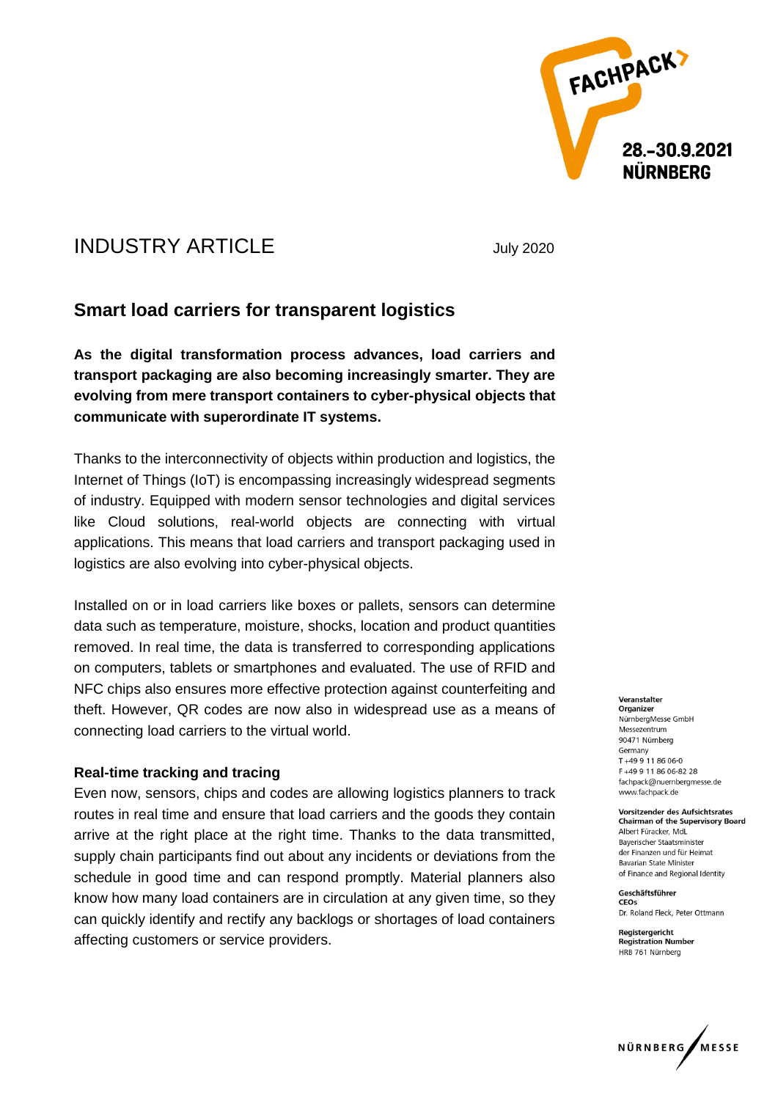

# INDUSTRY ARTICLE July 2020

# **Smart load carriers for transparent logistics**

**As the digital transformation process advances, load carriers and transport packaging are also becoming increasingly smarter. They are evolving from mere transport containers to cyber-physical objects that communicate with superordinate IT systems.** 

Thanks to the interconnectivity of objects within production and logistics, the Internet of Things (IoT) is encompassing increasingly widespread segments of industry. Equipped with modern sensor technologies and digital services like Cloud solutions, real-world objects are connecting with virtual applications. This means that load carriers and transport packaging used in logistics are also evolving into cyber-physical objects.

Installed on or in load carriers like boxes or pallets, sensors can determine data such as temperature, moisture, shocks, location and product quantities removed. In real time, the data is transferred to corresponding applications on computers, tablets or smartphones and evaluated. The use of RFID and NFC chips also ensures more effective protection against counterfeiting and theft. However, QR codes are now also in widespread use as a means of connecting load carriers to the virtual world.

#### **Real-time tracking and tracing**

Even now, sensors, chips and codes are allowing logistics planners to track routes in real time and ensure that load carriers and the goods they contain arrive at the right place at the right time. Thanks to the data transmitted, supply chain participants find out about any incidents or deviations from the schedule in good time and can respond promptly. Material planners also know how many load containers are in circulation at any given time, so they can quickly identify and rectify any backlogs or shortages of load containers affecting customers or service providers.

Veranctalter Organizer NürnbergMesse GmbH Messezentrum 90471 Nürnberg Germany  $T + 499118606 - 0$ F+49 9 11 86 06-82 28 fachpack@nuernbergmesse.de www.fachpack.de

Vorsitzender des Aufsichtsrates **Chairman of the Supervisory Board** Albert Füracker, MdL **Baverischer Staatsminister** der Finanzen und für Heimat Bavarian State Minister of Finance and Regional Identity

Geschäftsführer CEOs Dr. Roland Fleck, Peter Ottmann

Registergericht **Registration Number** HRB 761 Nürnberg

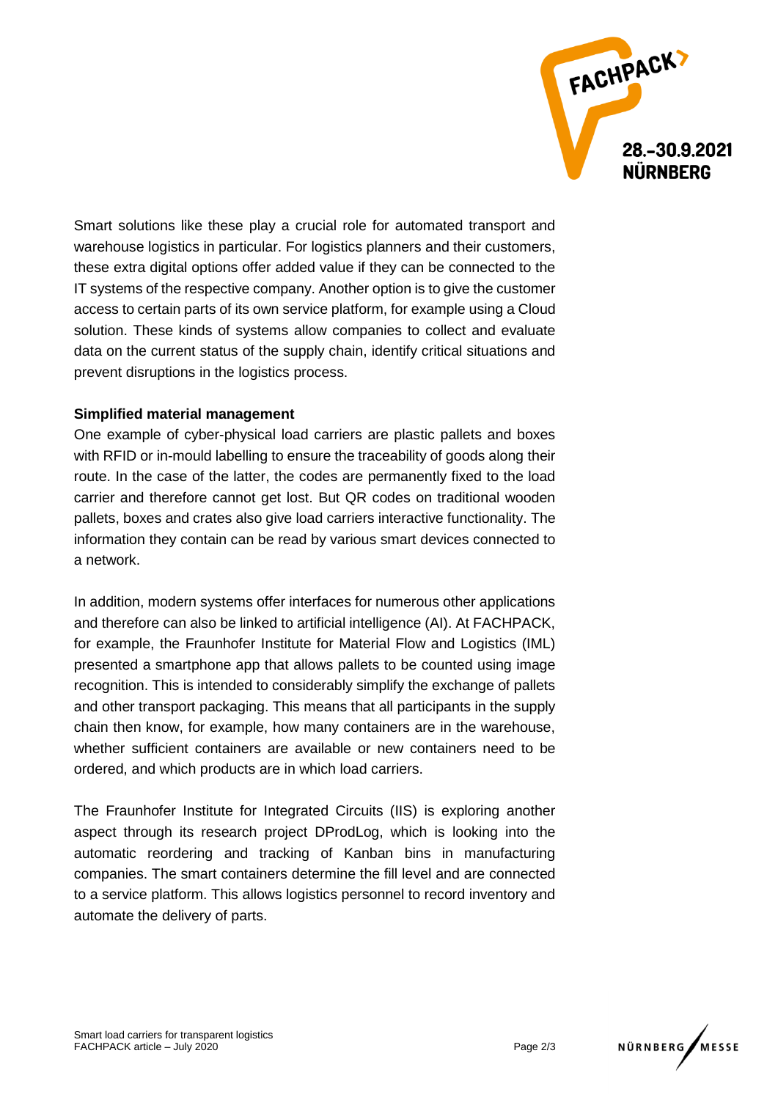

Smart solutions like these play a crucial role for automated transport and warehouse logistics in particular. For logistics planners and their customers, these extra digital options offer added value if they can be connected to the IT systems of the respective company. Another option is to give the customer access to certain parts of its own service platform, for example using a Cloud solution. These kinds of systems allow companies to collect and evaluate data on the current status of the supply chain, identify critical situations and prevent disruptions in the logistics process.

## **Simplified material management**

One example of cyber-physical load carriers are plastic pallets and boxes with RFID or in-mould labelling to ensure the traceability of goods along their route. In the case of the latter, the codes are permanently fixed to the load carrier and therefore cannot get lost. But QR codes on traditional wooden pallets, boxes and crates also give load carriers interactive functionality. The information they contain can be read by various smart devices connected to a network.

In addition, modern systems offer interfaces for numerous other applications and therefore can also be linked to artificial intelligence (AI). At FACHPACK, for example, the Fraunhofer Institute for Material Flow and Logistics (IML) presented a smartphone app that allows pallets to be counted using image recognition. This is intended to considerably simplify the exchange of pallets and other transport packaging. This means that all participants in the supply chain then know, for example, how many containers are in the warehouse, whether sufficient containers are available or new containers need to be ordered, and which products are in which load carriers.

The Fraunhofer Institute for Integrated Circuits (IIS) is exploring another aspect through its research project DProdLog, which is looking into the automatic reordering and tracking of Kanban bins in manufacturing companies. The smart containers determine the fill level and are connected to a service platform. This allows logistics personnel to record inventory and automate the delivery of parts.